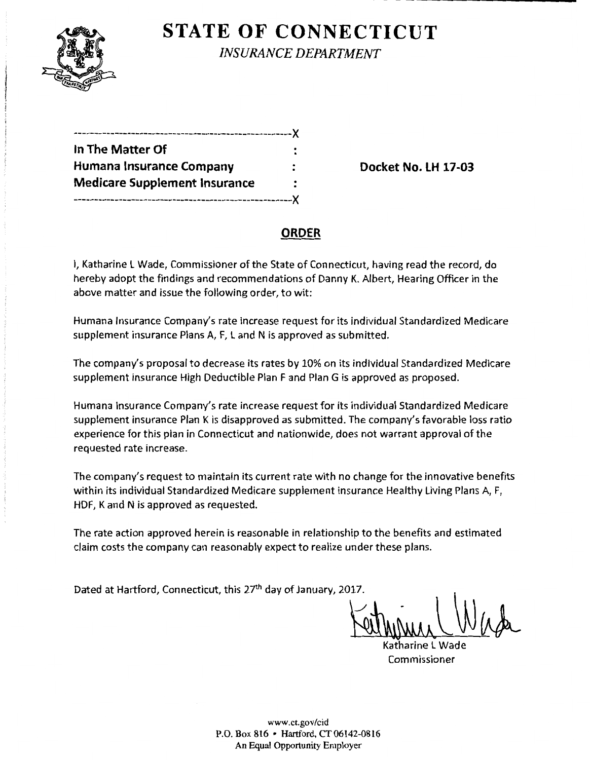

**STATE OF CONNECTICUT** *INSURANCE DEPARTMENT* 

| ---------------------------------X   |  |
|--------------------------------------|--|
| In The Matter Of                     |  |
| Humana Insurance Company             |  |
| <b>Medicare Supplement Insurance</b> |  |
| ----------------------------         |  |

**Docket No. LH 17-03** 

# **ORDER**

I, Katharine l Wade, Commissioner of the State of Connecticut, having read the record, do hereby adopt the findings and recommendations of Danny K. Albert, Hearing Officer in the above matter and issue the following order, to wit:

Humana Insurance Company's rate increase request for its individual Standardized Medicare supplement insurance Plans A, F, L and N is approved as submitted.

The company's proposal to decrease its rates by 10% on its individual Standardized Medicare supplement insurance High Deductible Plan F and Plan G is approved as proposed.

Humana Insurance Company's rate increase request for its individual Standardized Medicare supplement insurance Plan K is disapproved as submitted. The company's favorable loss ratio experience for this plan in Connecticut and nationwide, does not warrant approval of the requested rate increase.

The company's request to maintain its current rate with no change for the innovative benefits within its individual Standardized Medicare supplement insurance Healthy living Plans A, F, HDF, K and N is approved as requested.

The rate action approved herein is reasonable in relationship to the benefits and estimated claim costs the company can reasonably expect to realize under these plans.

Dated at Hartford, Connecticut, this 27<sup>th</sup> day of January, 2017.

Katharine l Wade Commissioner

www.ct.gov/cid P.O. Box 816 • Hartford, CT 06142-0816 An Equal Opportunity Employer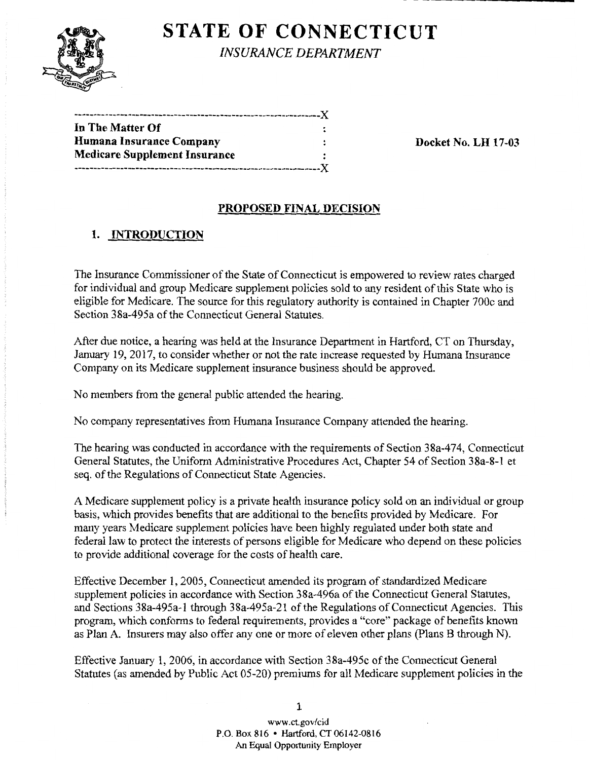

**STATE OF CONNECTICUT** 

*INSURANCE DEPARTMENT* 

| In The Matter Of                     |                            |
|--------------------------------------|----------------------------|
| Humana Insurance Company             | <b>Docket No. LH 17-03</b> |
| <b>Medicare Supplement Insurance</b> |                            |
|                                      |                            |

#### **PROPOSED FINAL DECISION**

## **1. INTRODUCTION**

The Insurance Commissioner of the State of Connecticut is empowered to review rates charged for individual and group Medicare supplement policies sold to any resident ofthis State who is eligible for Medicare. The source for this regulatory authority is contained in Chapter 700c and Section 38a-495a of the Connecticut General Statutes.

After due notice, a hearing was held at the Insurance Department in Hartford, CT on Thursday, January 19, 2017, to consider whether or not the rate increase requested by Humana Insurance Company on its Medicare supplement insurance business should be approved.

No members from the general public attended the hearing.

No company representatives from Humana Insurance Company attended the hearing.

The hearing was conducted in accordance with the requirements of Section 38a-474, Connecticut General Statutes, the Uniform Administrative Procedures Act, Chapter 54 of Section 38a-8-1 et seq. of the Regulations of Connecticut State Agencies.

A Medicare supplement policy is a private health insurance policy sold on an individual or group basis, which provides benefits that are additional to the benefits provided by Medicare. For many years Medicare supplement policies have been highly regulated under both state and federal law to protect the interests of persons eligible for Medicare who depend on these policies to provide additional coverage for the costs of health care.

Effective December **1,** 2005, Connecticut amended its program of standardized Medicare supplement policies in accordance with Section 38a-496a of the Connecticut General Statutes, and Sections 38a-495a-1 through 38a-495a-21 of the Regulations of Connecticut Agencies. This program, which conforms to federal requirements, provides a "core" package of benefits known as Plan A. Insurers may also offer any one or more of eleven other plans (Plans **B** through N).

Effective January **1,** 2006, in accordance with Section 38a-495c ofthe Connecticut General Statutes (as amended by Public Act 05-20) premiums for all Medicare supplement policies in the

> www.ct.gov/cid P.O. Box 816 • Hartford, CT 06142-0816 An Equal Opportunity Employer

**1**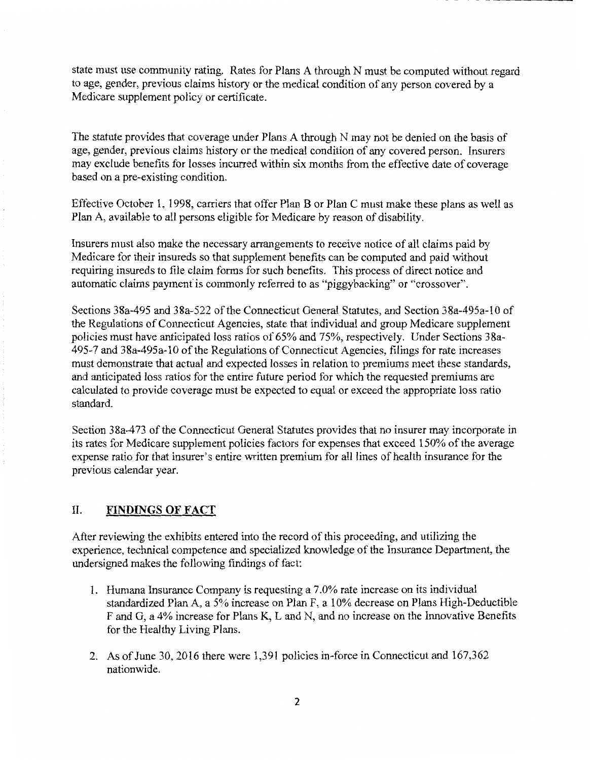state must use community rating. Rates for Plans A through N must be computed without regard to age, gender, previous claims history or the medical condition of any person covered by a Medicare supplement policy or certificate.

-- ------~~~-

The statute provides that coverage under Plans A through N may not be denied on the basis of age, gender, previous claims history or the medical condition of any covered person. Insurers may exclude benefits for losses incurred within six months from the effective date of coverage based on a pre-existing condition.

Effective October 1, 1998, carriers that offer Plan B or Plan C must make these plans as well as Plan A, available to all persons eligible for Medicare by reason of disability.

Insurers must also make the necessary arrangements to receive notice of all claims paid by Medicare for their insureds so that supplement benefits can be computed and paid without requiring insureds to file claim forms for such benefits. This process of direct notice and automatic claims payment' is commonly referred to as "piggybacking" or "crossover".

Sections 38a-495 and 38a-522 of the Connecticut General Statutes, and Section 38a-495a-10 of the Regulations of Connecticut Agencies, state that individual and group Medicare supplement policies must have anticipated loss ratios of 65% and 75%, respectively. Under Sections 38a-495-7 and 38a-495a-10 ofthe Regulations of Connecticut Agencies, filings for rate increases must demonstrate that actual and expected losses in relation to premiums meet these standards, and anticipated loss ratios for the entire future period for which the requested premiums are calculated to provide coverage must be expected to equal or exceed the appropriate loss ratio standard.

Section 38a-473 of the Connecticut General Statutes provides that no insurer may incorporate in its rates for Medicare supplement policies factors for expenses that exceed 150% of the average expense ratio for that insurer's entire written premium for all lines of health insurance for the previous calendar year.

## II. **FINDINGS OF FACT**

After reviewing the exhibits entered into the record of this proceeding, and utilizing the experience, technical competence and specialized knowledge of the Insurance Department, the undersigned makes the following findings of fact:

- 1. Humana Insurance Company is requesting a 7.0% rate increase on its individual standardized Plan A, a 5% increase on Plan F, a 10% decrease on Plans High-Deductible F and G, a 4% increase for Plans K, L and N, and no increase on the Innovative Benefits for the Healthy Living Plans.
- 2. As of June 30, 2016 there were 1,391 policies in-force in Connecticut and 167,362 nationwide.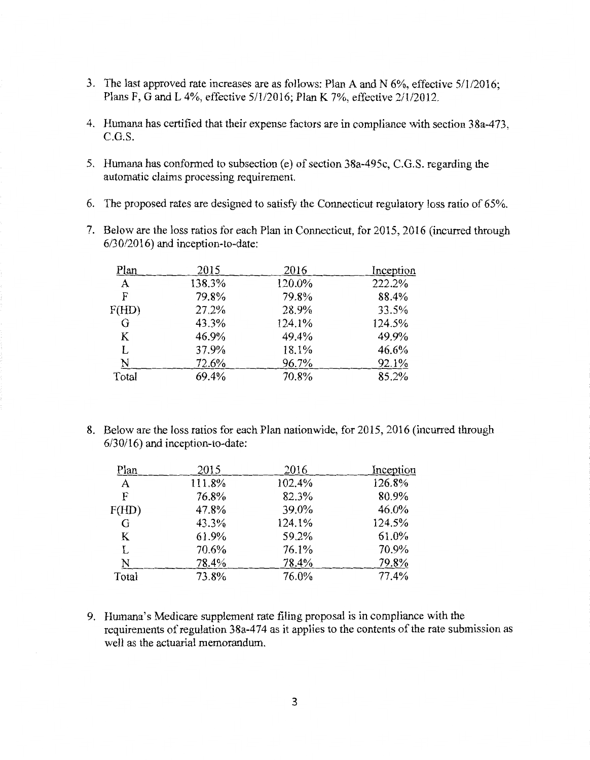- 3. The last approved rate increases are as follows: Plan A and N 6%, effective 5/1/2016; Plans F, G and L 4%, effective 5/1/2016; Plan K 7%, effective 2/1/2012.
- 4. Humana has certified that their expense factors are in compliance with section 38a-473, C.G.S.
- 5. Humana has conformed to subsection (e) of section 38a-495c, C.G.S. regarding the automatic claims processing requirement.
- 6. The proposed rates are designed to satisfy the Connecticut regulatory loss ratio of 65%.
- 7. Below are the loss ratios for each Plan in Connecticut, for 2015, 2016 (incurred through 6/30/2016) and inception-to-date:

| 2015   | 2016   | Inception |
|--------|--------|-----------|
| 138.3% | 120.0% | 222.2%    |
| 79.8%  | 79.8%  | 88.4%     |
| 27.2%  | 28.9%  | 33.5%     |
| 43.3%  | 124.1% | 124.5%    |
| 46.9%  | 49.4%  | 49.9%     |
| 37.9%  | 18.1%  | 46.6%     |
| 72.6%  | 96.7%  | 92.1%     |
| 69.4%  | 70.8%  | 85.2%     |
|        |        |           |

8. Below are the loss ratios for each Plan nationwide, for 2015, 2016 (incurred through 6/30116) and inception-to-date:

| Plan         | 2015   | 2016   | Inception |
|--------------|--------|--------|-----------|
| $\mathbf{A}$ | 111.8% | 102.4% | 126.8%    |
| F            | 76.8%  | 82.3%  | 80.9%     |
| F(HD)        | 47.8%  | 39.0%  | 46.0%     |
| G            | 43.3%  | 124.1% | 124.5%    |
| K            | 61.9%  | 59.2%  | 61.0%     |
| L            | 70.6%  | 76.1%  | 70.9%     |
| N            | 78.4%  | 78.4%  | 79.8%     |
| Total        | 73.8%  | 76.0%  | 77.4%     |

9. Humana's Medicare supplement rate filing proposal is in compliance with the requirements of regulation 38a-474 as it applies to the contents of the rate submission as well as the actuarial memorandum.